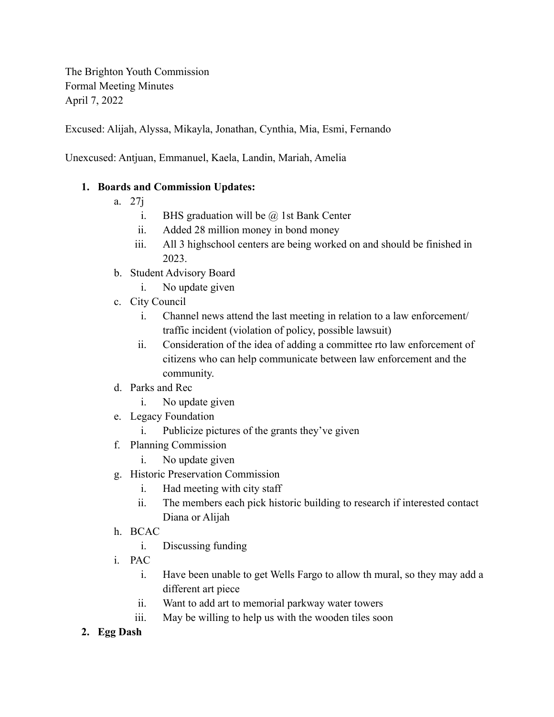The Brighton Youth Commission Formal Meeting Minutes April 7, 2022

Excused: Alijah, Alyssa, Mikayla, Jonathan, Cynthia, Mia, Esmi, Fernando

Unexcused: Antjuan, Emmanuel, Kaela, Landin, Mariah, Amelia

## **1. Boards and Commission Updates:**

- a. 27j
	- i. BHS graduation will be  $\omega$  1st Bank Center
	- ii. Added 28 million money in bond money
	- iii. All 3 highschool centers are being worked on and should be finished in 2023.
- b. Student Advisory Board
	- i. No update given
- c. City Council
	- i. Channel news attend the last meeting in relation to a law enforcement/ traffic incident (violation of policy, possible lawsuit)
	- ii. Consideration of the idea of adding a committee rto law enforcement of citizens who can help communicate between law enforcement and the community.
- d. Parks and Rec
	- i. No update given
- e. Legacy Foundation
	- i. Publicize pictures of the grants they've given
- f. Planning Commission
	- i. No update given
- g. Historic Preservation Commission
	- i. Had meeting with city staff
	- ii. The members each pick historic building to research if interested contact Diana or Alijah
- h. BCAC
	- i. Discussing funding
- i. PAC
	- i. Have been unable to get Wells Fargo to allow th mural, so they may add a different art piece
	- ii. Want to add art to memorial parkway water towers
	- iii. May be willing to help us with the wooden tiles soon
- **2. Egg Dash**